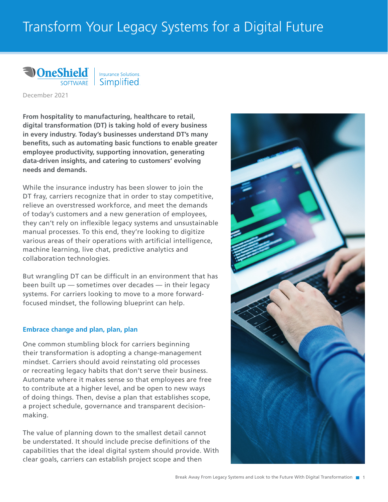# Transform Your Legacy Systems for a Digital Future



Simplified.

December 2021

**From hospitality to manufacturing, healthcare to retail, digital transformation (DT) is taking hold of every business in every industry. Today's businesses understand DT's many benefits, such as automating basic functions to enable greater employee productivity, supporting innovation, generating data-driven insights, and catering to customers' evolving needs and demands.** 

While the insurance industry has been slower to join the DT fray, carriers recognize that in order to stay competitive, relieve an overstressed workforce, and meet the demands of today's customers and a new generation of employees, they can't rely on inflexible legacy systems and unsustainable manual processes. To this end, they're looking to digitize various areas of their operations with artificial intelligence, machine learning, live chat, predictive analytics and collaboration technologies.

But wrangling DT can be difficult in an environment that has been built up — sometimes over decades — in their legacy systems. For carriers looking to move to a more forwardfocused mindset, the following blueprint can help.

#### **Embrace change and plan, plan, plan**

One common stumbling block for carriers beginning their transformation is adopting a change-management mindset. Carriers should avoid reinstating old processes or recreating legacy habits that don't serve their business. Automate where it makes sense so that employees are free to contribute at a higher level, and be open to new ways of doing things. Then, devise a plan that establishes scope, a project schedule, governance and transparent decisionmaking.

The value of planning down to the smallest detail cannot be understated. It should include precise definitions of the capabilities that the ideal digital system should provide. With clear goals, carriers can establish project scope and then

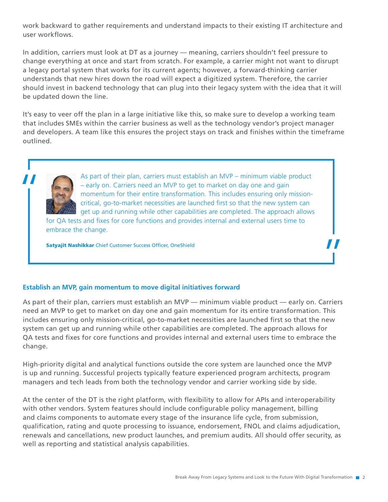work backward to gather requirements and understand impacts to their existing IT architecture and user workflows.

In addition, carriers must look at DT as a journey — meaning, carriers shouldn't feel pressure to change everything at once and start from scratch. For example, a carrier might not want to disrupt a legacy portal system that works for its current agents; however, a forward-thinking carrier understands that new hires down the road will expect a digitized system. Therefore, the carrier should invest in backend technology that can plug into their legacy system with the idea that it will be updated down the line.

It's easy to veer off the plan in a large initiative like this, so make sure to develop a working team that includes SMEs within the carrier business as well as the technology vendor's project manager and developers. A team like this ensures the project stays on track and finishes within the timeframe outlined.



As part of their plan, carriers must establish an MVP – minimum viable product<br>
— early on. Carriers need an MVP to get to market on day one and gain<br>
momentum for their entire transformation. This includes ensuring only m – early on. Carriers need an MVP to get to market on day one and gain momentum for their entire transformation. This includes ensuring only missioncritical, go-to-market necessities are launched first so that the new system can get up and running while other capabilities are completed. The approach allows

for QA tests and fixes for core functions and provides internal and external users time to embrace the change.

Satyajit Nashikkar Chief Customer Success Officer, OneShield

#### **Establish an MVP, gain momentum to move digital initiatives forward**

As part of their plan, carriers must establish an MVP — minimum viable product — early on. Carriers need an MVP to get to market on day one and gain momentum for its entire transformation. This includes ensuring only mission-critical, go-to-market necessities are launched first so that the new system can get up and running while other capabilities are completed. The approach allows for QA tests and fixes for core functions and provides internal and external users time to embrace the change.

High-priority digital and analytical functions outside the core system are launched once the MVP is up and running. Successful projects typically feature experienced program architects, program managers and tech leads from both the technology vendor and carrier working side by side.

At the center of the DT is the right platform, with flexibility to allow for APIs and interoperability with other vendors. System features should include configurable policy management, billing and claims components to automate every stage of the insurance life cycle, from submission, qualification, rating and quote processing to issuance, endorsement, FNOL and claims adjudication, renewals and cancellations, new product launches, and premium audits. All should offer security, as well as reporting and statistical analysis capabilities.